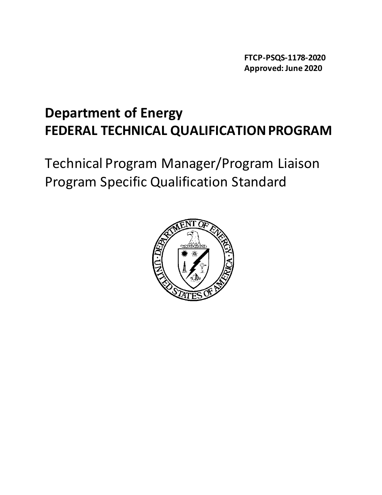# **Department of Energy FEDERAL TECHNICAL QUALIFICATION PROGRAM**

Technical Program Manager/Program Liaison Program Specific Qualification Standard

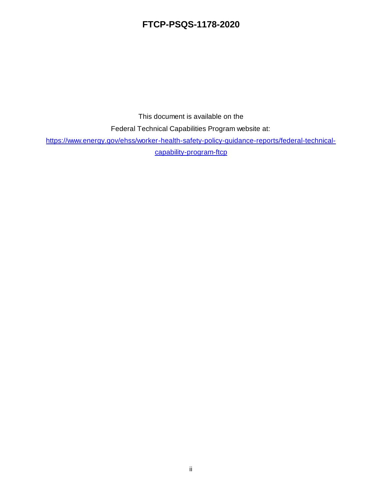This document is available on the

Federal Technical Capabilities Program website at:

[https://www.energy.gov/ehss/worker-health-safety-policy-guidance-reports/federal-technical](https://www.energy.gov/ehss/worker-health-safety-policy-guidance-reports/federal-technical-capability-program-ftcp)[capability-program-ftcp](https://www.energy.gov/ehss/worker-health-safety-policy-guidance-reports/federal-technical-capability-program-ftcp)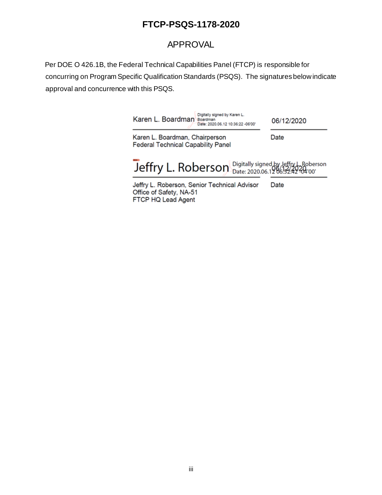# APPROVAL

<span id="page-2-0"></span>Per DOE O 426.1B, the Federal Technical Capabilities Panel (FTCP) is responsible for concurring on Program Specific Qualification Standards (PSQS). The signatures below indicate approval and concurrence with this PSQS.

| Digitally signed by Karen L.<br>Karen L. Boardman<br>Boardman<br>Date: 2020.06.12 10:36:22 -06'00" | 06/12/2020 |  |  |
|----------------------------------------------------------------------------------------------------|------------|--|--|
| Karen L. Boardman, Chairperson<br>Date<br>Federal Technical Capability Panel                       |            |  |  |
| Jeffry L. Roberson Digitally signed by Jeffry L, Roberson                                          |            |  |  |
| Jeffry L. Roberson, Senior Technical Advisor<br>Office of Safety, NA-51<br>FTCP HQ Lead Agent      | Date       |  |  |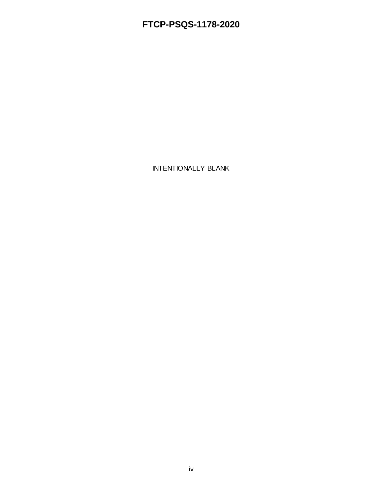INTENTIONALLY BLANK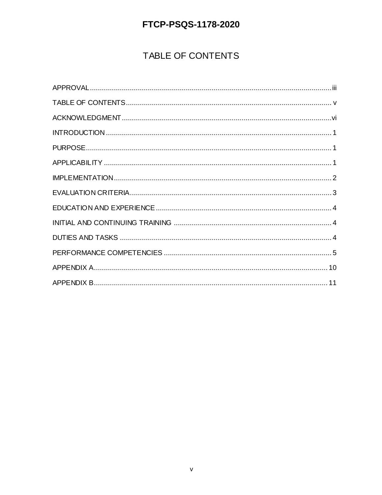# TABLE OF CONTENTS

<span id="page-4-0"></span>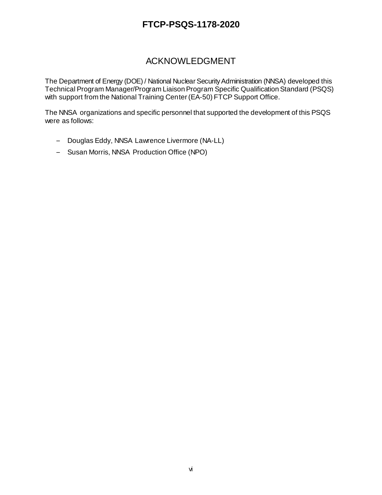### ACKNOWLEDGMENT

<span id="page-5-0"></span>The Department of Energy (DOE) / National Nuclear Security Administration (NNSA) developed this Technical Program Manager/Program Liaison Program Specific Qualification Standard (PSQS) with support from the National Training Center (EA-50) FTCP Support Office.

The NNSA organizations and specific personnel that supported the development of this PSQS were as follows:

- Douglas Eddy, NNSA Lawrence Livermore (NA-LL)
- Susan Morris, NNSA Production Office (NPO)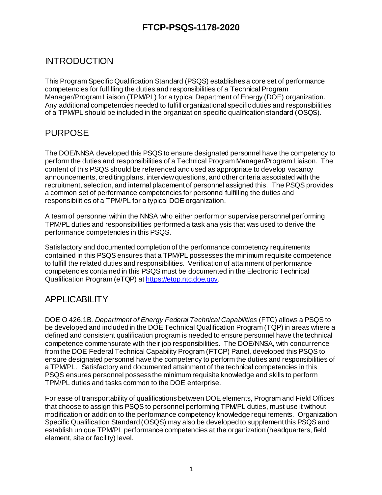# <span id="page-6-0"></span>**INTRODUCTION**

This Program Specific Qualification Standard (PSQS) establishes a core set of performance competencies for fulfilling the duties and responsibilities of a Technical Program Manager/Program Liaison (TPM/PL) for a typical Department of Energy (DOE) organization. Any additional competencies needed to fulfill organizational specific duties and responsibilities of a TPM/PL should be included in the organization specific qualification standard (OSQS).

### <span id="page-6-1"></span>PURPOSE

The DOE/NNSA developed this PSQS to ensure designated personnel have the competency to perform the duties and responsibilities of a Technical Program Manager/Program Liaison. The content of this PSQS should be referenced and used as appropriate to develop vacancy announcements, crediting plans, interview questions, and other criteria associated with the recruitment, selection, and internal placement of personnel assigned this. The PSQS provides a common set of performance competencies for personnel fulfilling the duties and responsibilities of a TPM/PL for a typical DOE organization.

A team of personnel within the NNSA who either perform or supervise personnel performing TPM/PL duties and responsibilities performed a task analysis that was used to derive the performance competencies in this PSQS.

Satisfactory and documented completion of the performance competency requirements contained in this PSQS ensures that a TPM/PL possesses the minimum requisite competence to fulfill the related duties and responsibilities. Verification of attainment of performance competencies contained in this PSQS must be documented in the Electronic Technical Qualification Program (eTQP) a[t https://etqp.ntc.doe.gov](https://etqp.ntc.doe.gov/).

### <span id="page-6-2"></span>**APPLICABILITY**

DOE O 426.1B*, Department of Energy Federal Technical Capabilities* (FTC) allows a PSQS to be developed and included in the DOE Technical Qualification Program (TQP) in areas where a defined and consistent qualification program is needed to ensure personnel have the technical competence commensurate with their job responsibilities. The DOE/NNSA, with concurrence from the DOE Federal Technical Capability Program (FTCP) Panel, developed this PSQS to ensure designated personnel have the competency to perform the duties and responsibilities of a TPM/PL. Satisfactory and documented attainment of the technical competencies in this PSQS ensures personnel possess the minimum requisite knowledge and skills to perform TPM/PL duties and tasks common to the DOE enterprise.

For ease of transportability of qualifications between DOE elements, Program and Field Offices that choose to assign this PSQS to personnel performing TPM/PL duties, must use it without modification or addition to the performance competency knowledge requirements. Organization Specific Qualification Standard (OSQS) may also be developed to supplement this PSQS and establish unique TPM/PL performance competencies at the organization (headquarters, field element, site or facility) level.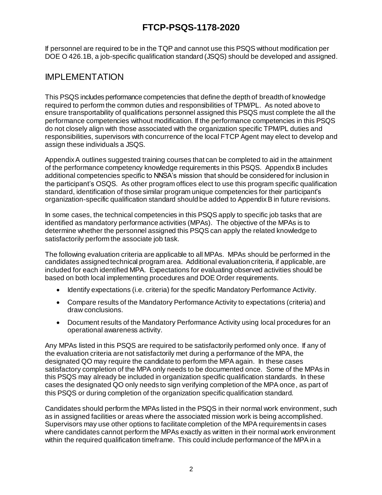If personnel are required to be in the TQP and cannot use this PSQS without modification per DOE O 426.1B, a job-specific qualification standard (JSQS) should be developed and assigned.

### <span id="page-7-0"></span>IMPLEMENTATION

This PSQS includes performance competencies that define the depth of breadth of knowledge required to perform the common duties and responsibilities of TPM/PL. As noted above to ensure transportability of qualifications personnel assigned this PSQS must complete the all the performance competencies without modification. If the performance competencies in this PSQS do not closely align with those associated with the organization specific TPM/PL duties and responsibilities, supervisors with concurrence of the local FTCP Agent may elect to develop and assign these individuals a JSQS.

Appendix A outlines suggested training courses that can be completed to aid in the attainment of the performance competency knowledge requirements in this PSQS. Appendix B includes additional competencies specific to NNSA's mission that should be considered for inclusion in the participant's OSQS. As other program offices elect to use this program specific qualification standard, identification of those similar program unique competencies for their participant's organization-specific qualification standard should be added to AppendixB in future revisions.

In some cases, the technical competencies in this PSQS apply to specific job tasks that are identified as mandatory performance activities (MPAs). The objective of the MPAs is to determine whether the personnel assigned this PSQS can apply the related knowledge to satisfactorily perform the associate job task.

The following evaluation criteria are applicable to all MPAs. MPAs should be performed in the candidates assigned technical program area. Additional evaluation criteria, if applicable, are included for each identified MPA. Expectations for evaluating observed activities should be based on both local implementing procedures and DOE Order requirements.

- Identify expectations (i.e. criteria) for the specific Mandatory Performance Activity.
- Compare results of the Mandatory Performance Activity to expectations (criteria) and draw conclusions.
- Document results of the Mandatory Performance Activity using local procedures for an operational awareness activity.

Any MPAs listed in this PSQS are required to be satisfactorily performed only once. If any of the evaluation criteria are not satisfactorily met during a performance of the MPA, the designated QO may require the candidate to perform the MPA again. In these cases satisfactory completion of the MPA only needs to be documented once. Some of the MPAs in this PSQS may already be included in organization specific qualification standards. In these cases the designated QO only needs to sign verifying completion of the MPA once, as part of this PSQS or during completion of the organization specific qualification standard.

Candidates should perform the MPAs listed in the PSQS in their normal work environment, such as in assigned facilities or areas where the associated mission work is being accomplished. Supervisors may use other options to facilitate completion of the MPA requirements in cases where candidates cannot perform the MPAs exactly as written in their normal work environment within the required qualification timeframe. This could include performance of the MPA in a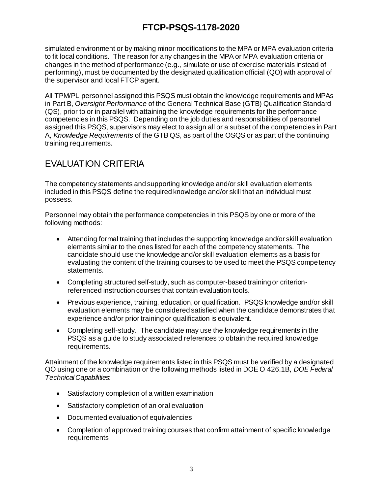simulated environment or by making minor modifications to the MPA or MPA evaluation criteria to fit local conditions. The reason for any changes in the MPA or MPA evaluation criteria or changes in the method of performance (e.g., simulate or use of exercise materials instead of performing), must be documented by the designated qualification official (QO) with approval of the supervisor and local FTCP agent.

All TPM/PL personnel assigned this PSQS must obtain the knowledge requirements and MPAs in Part B, *Oversight Performance* of the General Technical Base (GTB) Qualification Standard (QS), prior to or in parallel with attaining the knowledge requirements for the performance competencies in this PSQS. Depending on the job duties and responsibilities of personnel assigned this PSQS, supervisors may elect to assign all or a subset of the competencies in Part A, *Knowledge Requirements* of the GTB QS, as part of the OSQS or as part of the continuing training requirements.

# <span id="page-8-0"></span>EVALUATION CRITERIA

The competency statements and supporting knowledge and/or skill evaluation elements included in this PSQS define the required knowledge and/or skill that an individual must possess.

Personnel may obtain the performance competencies in this PSQS by one or more of the following methods:

- Attending formal training that includes the supporting knowledge and/or skill evaluation elements similar to the ones listed for each of the competency statements. The candidate should use the knowledge and/or skill evaluation elements as a basis for evaluating the content of the training courses to be used to meet the PSQS competency statements.
- Completing structured self-study, such as computer-based training or criterionreferenced instruction courses that contain evaluation tools.
- Previous experience, training, education, or qualification. PSQS knowledge and/or skill evaluation elements may be considered satisfied when the candidate demonstrates that experience and/or prior training or qualification is equivalent.
- Completing self-study. The candidate may use the knowledge requirements in the PSQS as a guide to study associated references to obtain the required knowledge requirements.

Attainment of the knowledge requirements listed in this PSQS must be verified by a designated QO using one or a combination or the following methods listed in DOE O 426.1B, *DOE Federal Technical Capabilities*:

- Satisfactory completion of a written examination
- Satisfactory completion of an oral evaluation
- Documented evaluation of equivalencies
- Completion of approved training courses that confirm attainment of specific knowledge requirements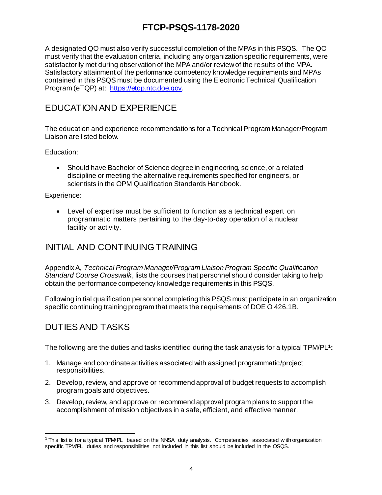A designated QO must also verify successful completion of the MPAs in this PSQS. The QO must verify that the evaluation criteria, including any organization specific requirements, were satisfactorily met during observation of the MPA and/or review of the results of the MPA. Satisfactory attainment of the performance competency knowledge requirements and MPAs contained in this PSQS must be documented using the Electronic Technical Qualification Program (eTQP) at: [https://etqp.ntc.doe.gov](https://etqp.ntc.doe.gov/).

# <span id="page-9-0"></span>EDUCATION AND EXPERIENCE

The education and experience recommendations for a Technical Program Manager/Program Liaison are listed below.

Education:

 Should have Bachelor of Science degree in engineering, science, or a related discipline or meeting the alternative requirements specified for engineers, or scientists in the OPM Qualification Standards Handbook.

Experience:

 Level of expertise must be sufficient to function as a technical expert on programmatic matters pertaining to the day-to-day operation of a nuclear facility or activity.

# <span id="page-9-1"></span>INITIAL AND CONTINUING TRAINING

Appendix A, *Technical Program Manager/Program Liaison Program Specific Qualification Standard Course Crosswalk*, lists the courses that personnel should consider taking to help obtain the performance competency knowledge requirements in this PSQS.

Following initial qualification personnel completing this PSQS must participate in an organization specific continuing training program that meets the requirements of DOE O 426.1B.

# <span id="page-9-2"></span>DUTIES AND TASKS

The following are the duties and tasks identified during the task analysis for a typical TPM/PL**<sup>1</sup> :**

- 1. Manage and coordinate activities associated with assigned programmatic/project responsibilities.
- 2. Develop, review, and approve or recommend approval of budget requests to accomplish program goals and objectives.
- 3. Develop, review, and approve or recommend approval program plans to support the accomplishment of mission objectives in a safe, efficient, and effective manner.

l **<sup>1</sup>** This list is for a typical TPM/PL based on the NNSA duty analysis. Competencies associated w ith organization specific TPM/PL duties and responsibilities not included in this list should be included in the OSQS.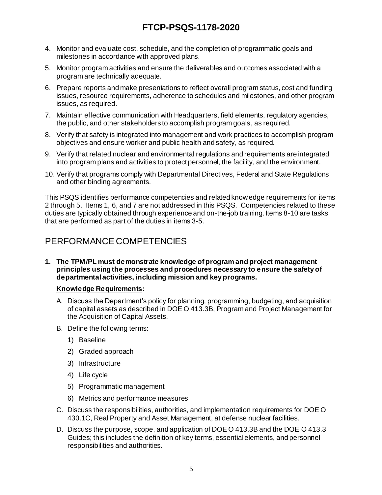- 4. Monitor and evaluate cost, schedule, and the completion of programmatic goals and milestones in accordance with approved plans.
- 5. Monitor program activities and ensure the deliverables and outcomes associated with a program are technically adequate.
- 6. Prepare reports and make presentations to reflect overall program status, cost and funding issues, resource requirements, adherence to schedules and milestones, and other program issues, as required.
- 7. Maintain effective communication with Headquarters, field elements, regulatory agencies, the public, and other stakeholders to accomplish program goals, as required.
- 8. Verify that safety is integrated into management and work practices to accomplish program objectives and ensure worker and public health and safety, as required.
- 9. Verify that related nuclear and environmental regulations and requirements are integrated into program plans and activities to protect personnel, the facility, and the environment.
- 10. Verify that programs comply with Departmental Directives, Federal and State Regulations and other binding agreements.

This PSQS identifies performance competencies and related knowledge requirements for items 2 through 5. Items 1, 6, and 7 are not addressed in this PSQS. Competencies related to these duties are typically obtained through experience and on-the-job training. Items 8-10 are tasks that are performed as part of the duties in items 3-5.

### <span id="page-10-0"></span>PERFORMANCE COMPETENCIES

**1. The TPM/PL must demonstrate knowledge of program and project management principles using the processes and procedures necessary to ensure the safety of departmental activities, including mission and key programs.**

#### **Knowledge Requirements:**

- A. Discuss the Department's policy for planning, programming, budgeting, and acquisition of capital assets as described in DOE O 413.3B, Program and Project Management for the Acquisition of Capital Assets.
- B. Define the following terms:
	- 1) Baseline
	- 2) Graded approach
	- 3) Infrastructure
	- 4) Life cycle
	- 5) Programmatic management
	- 6) Metrics and performance measures
- C. Discuss the responsibilities, authorities, and implementation requirements for DOE O 430.1C, Real Property and Asset Management, at defense nuclear facilities.
- D. Discuss the purpose, scope, and application of DOE O 413.3B and the DOE O 413.3 Guides; this includes the definition of key terms, essential elements, and personnel responsibilities and authorities.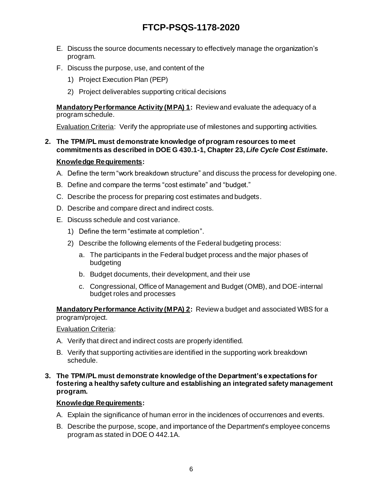- E. Discuss the source documents necessary to effectively manage the organization's program.
- F. Discuss the purpose, use, and content of the
	- 1) Project Execution Plan (PEP)
	- 2) Project deliverables supporting critical decisions

**Mandatory Performance Activity (MPA) 1:** Review and evaluate the adequacy of a program schedule.

Evaluation Criteria: Verify the appropriate use of milestones and supporting activities.

#### **2. The TPM/PL must demonstrate knowledge of program resources to meet commitments as described in DOE G 430.1-1, Chapter 23,** *Life Cycle Cost Estimate***.**

#### **Knowledge Requirements:**

- A. Define the term "work breakdown structure" and discuss the process for developing one.
- B. Define and compare the terms "cost estimate" and "budget."
- C. Describe the process for preparing cost estimates and budgets.
- D. Describe and compare direct and indirect costs.
- E. Discuss schedule and cost variance.
	- 1) Define the term "estimate at completion".
	- 2) Describe the following elements of the Federal budgeting process:
		- a. The participants in the Federal budget process and the major phases of budgeting
		- b. Budget documents, their development, and their use
		- c. Congressional, Office of Management and Budget (OMB), and DOE-internal budget roles and processes

**Mandatory Performance Activity (MPA) 2:** Review a budget and associated WBS for a program/project.

#### Evaluation Criteria:

- A. Verify that direct and indirect costs are properly identified.
- B. Verify that supporting activities are identified in the supporting work breakdown schedule.

#### **3. The TPM/PL must demonstrate knowledge of the Department's expectations for fostering a healthy safety culture and establishing an integrated safety management program.**

#### **Knowledge Requirements:**

- A. Explain the significance of human error in the incidences of occurrences and events.
- B. Describe the purpose, scope, and importance of the Department's employee concerns program as stated in DOE O 442.1A.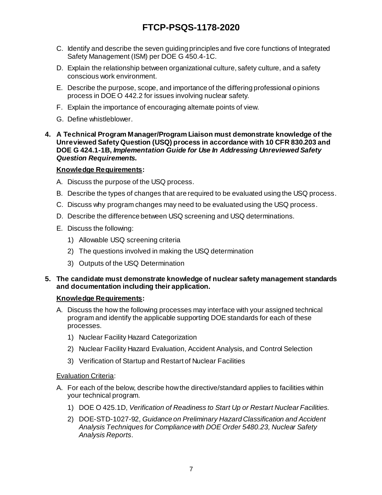- C. Identify and describe the seven guiding principles and five core functions of Integrated Safety Management (ISM) per DOE G 450.4-1C.
- D. Explain the relationship between organizational culture, safety culture, and a safety conscious work environment.
- E. Describe the purpose, scope, and importance of the differing professional opinions process in DOE O 442.2 for issues involving nuclear safety.
- F. Explain the importance of encouraging alternate points of view.
- G. Define whistleblower.
- **4. A Technical Program Manager/Program Liaison must demonstrate knowledge of the Unreviewed Safety Question (USQ) process in accordance with 10 CFR 830.203 and DOE G 424.1-1B,** *Implementation Guide for Use In Addressing Unreviewed Safety Question Requirements***.**

#### **Knowledge Requirements:**

- A. Discuss the purpose of the USQ process.
- B. Describe the types of changes that are required to be evaluated using the USQ process.
- C. Discuss why program changes may need to be evaluated using the USQ process.
- D. Describe the difference between USQ screening and USQ determinations.
- E. Discuss the following:
	- 1) Allowable USQ screening criteria
	- 2) The questions involved in making the USQ determination
	- 3) Outputs of the USQ Determination
- **5. The candidate must demonstrate knowledge of nuclear safety management standards and documentation including their application.**

#### **Knowledge Requirements:**

- A. Discuss the how the following processes may interface with your assigned technical program and identify the applicable supporting DOE standards for each of these processes.
	- 1) Nuclear Facility Hazard Categorization
	- 2) Nuclear Facility Hazard Evaluation, Accident Analysis, and Control Selection
	- 3) Verification of Startup and Restart of Nuclear Facilities

#### Evaluation Criteria:

- A. For each of the below, describe how the directive/standard applies to facilities within your technical program.
	- 1) DOE O 425.1D, *Verification of Readiness to Start Up or Restart Nuclear Facilities*.
	- 2) DOE-STD-1027-92, *Guidance on Preliminary Hazard Classification and Accident Analysis Techniques for Compliance with DOE Order 5480.23, Nuclear Safety Analysis Reports*.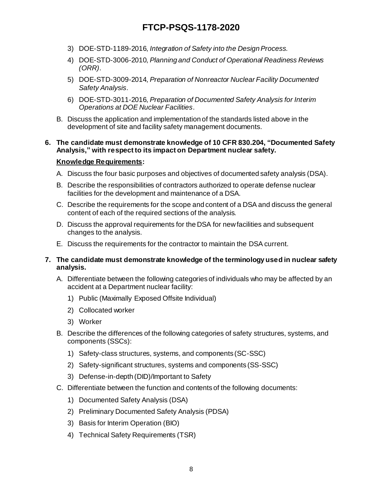- 3) DOE-STD-1189-2016, *Integration of Safety into the Design Process.*
- 4) DOE-STD-3006-2010, *Planning and Conduct of Operational Readiness Reviews (ORR)*.
- 5) DOE-STD-3009-2014, *Preparation of Nonreactor Nuclear Facility Documented Safety Analysis*.
- 6) DOE-STD-3011-2016, *Preparation of Documented Safety Analysis for Interim Operations at DOE Nuclear Facilities*.
- B. Discuss the application and implementation of the standards listed above in the development of site and facility safety management documents.

#### **6. The candidate must demonstrate knowledge of 10 CFR 830.204, "Documented Safety Analysis," with respect to its impact on Department nuclear safety.**

#### **Knowledge Requirements:**

- A. Discuss the four basic purposes and objectives of documented safety analysis (DSA).
- B. Describe the responsibilities of contractors authorized to operate defense nuclear facilities for the development and maintenance of a DSA.
- C. Describe the requirements for the scope and content of a DSA and discuss the general content of each of the required sections of the analysis.
- D. Discuss the approval requirements for the DSA for new facilities and subsequent changes to the analysis.
- E. Discuss the requirements for the contractor to maintain the DSA current.
- **7. The candidate must demonstrate knowledge of the terminology used in nuclear safety analysis.**
	- A. Differentiate between the following categories of individuals who may be affected by an accident at a Department nuclear facility:
		- 1) Public (Maximally Exposed Offsite Individual)
		- 2) Collocated worker
		- 3) Worker
	- B. Describe the differences of the following categories of safety structures, systems, and components (SSCs):
		- 1) Safety-class structures, systems, and components (SC-SSC)
		- 2) Safety-significant structures, systems and components (SS-SSC)
		- 3) Defense-in-depth (DID)/Important to Safety
	- C. Differentiate between the function and contents of the following documents:
		- 1) Documented Safety Analysis (DSA)
		- 2) Preliminary Documented Safety Analysis (PDSA)
		- 3) Basis for Interim Operation (BIO)
		- 4) Technical Safety Requirements (TSR)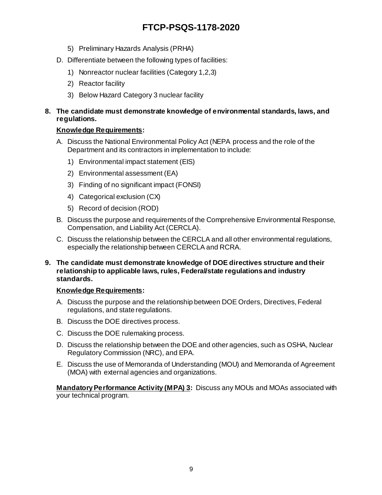- 5) Preliminary Hazards Analysis (PRHA)
- D. Differentiate between the following types of facilities:
	- 1) Nonreactor nuclear facilities (Category 1,2,3)
	- 2) Reactor facility
	- 3) Below Hazard Category 3 nuclear facility

#### **8. The candidate must demonstrate knowledge of environmental standards, laws, and regulations.**

#### **Knowledge Requirements:**

- A. Discuss the National Environmental Policy Act (NEPA process and the role of the Department and its contractors in implementation to include:
	- 1) Environmental impact statement (EIS)
	- 2) Environmental assessment (EA)
	- 3) Finding of no significant impact (FONSI)
	- 4) Categorical exclusion (CX)
	- 5) Record of decision (ROD)
- B. Discuss the purpose and requirements of the Comprehensive Environmental Response, Compensation, and Liability Act (CERCLA).
- C. Discuss the relationship between the CERCLA and all other environmental regulations, especially the relationship between CERCLA and RCRA.
- **9. The candidate must demonstrate knowledge of DOE directives structure and their relationship to applicable laws, rules, Federal/state regulations and industry standards.**

#### **Knowledge Requirements:**

- A. Discuss the purpose and the relationship between DOE Orders, Directives, Federal regulations, and state regulations.
- B. Discuss the DOE directives process.
- C. Discuss the DOE rulemaking process.
- D. Discuss the relationship between the DOE and other agencies, such as OSHA, Nuclear Regulatory Commission (NRC), and EPA.
- E. Discuss the use of Memoranda of Understanding (MOU) and Memoranda of Agreement (MOA) with external agencies and organizations.

**Mandatory Performance Activity (MPA) 3:** Discuss any MOUs and MOAs associated with your technical program.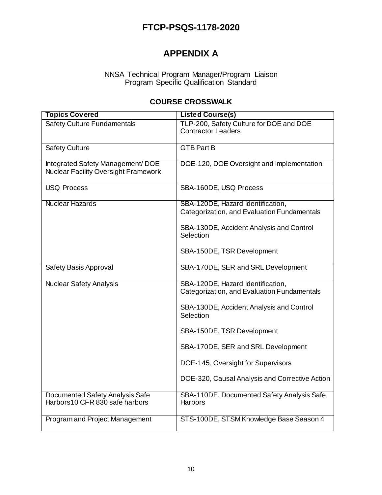# **APPENDIX A**

NNSA Technical Program Manager/Program Liaison Program Specific Qualification Standard

#### **COURSE CROSSWALK**

<span id="page-15-0"></span>

| <b>Topics Covered</b>                                                           | <b>Listed Course(s)</b>                                                          |
|---------------------------------------------------------------------------------|----------------------------------------------------------------------------------|
| <b>Safety Culture Fundamentals</b>                                              | TLP-200, Safety Culture for DOE and DOE<br><b>Contractor Leaders</b>             |
| <b>Safety Culture</b>                                                           | <b>GTB Part B</b>                                                                |
| Integrated Safety Management/DOE<br><b>Nuclear Facility Oversight Framework</b> | DOE-120, DOE Oversight and Implementation                                        |
| <b>USQ Process</b>                                                              | SBA-160DE, USQ Process                                                           |
| Nuclear Hazards                                                                 | SBA-120DE, Hazard Identification,<br>Categorization, and Evaluation Fundamentals |
|                                                                                 | SBA-130DE, Accident Analysis and Control<br>Selection                            |
|                                                                                 | SBA-150DE, TSR Development                                                       |
| <b>Safety Basis Approval</b>                                                    | SBA-170DE, SER and SRL Development                                               |
| <b>Nuclear Safety Analysis</b>                                                  | SBA-120DE, Hazard Identification,<br>Categorization, and Evaluation Fundamentals |
|                                                                                 | SBA-130DE, Accident Analysis and Control<br>Selection                            |
|                                                                                 | SBA-150DE, TSR Development                                                       |
|                                                                                 | SBA-170DE, SER and SRL Development                                               |
|                                                                                 | DOE-145, Oversight for Supervisors                                               |
|                                                                                 | DOE-320, Causal Analysis and Corrective Action                                   |
| Documented Safety Analysis Safe<br>Harbors 10 CFR 830 safe harbors              | SBA-110DE, Documented Safety Analysis Safe<br><b>Harbors</b>                     |
| Program and Project Management                                                  | STS-100DE, STSM Knowledge Base Season 4                                          |